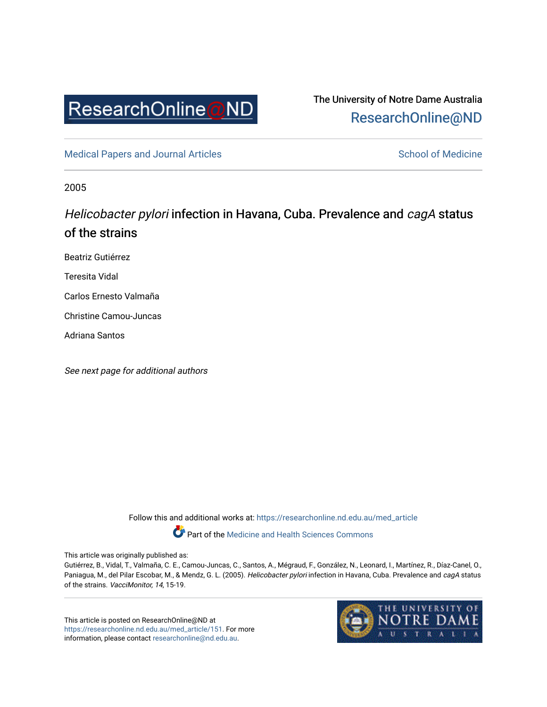

The University of Notre Dame Australia [ResearchOnline@ND](https://researchonline.nd.edu.au/) 

[Medical Papers and Journal Articles](https://researchonline.nd.edu.au/med_article) and School of Medicine

2005

## Helicobacter pylori infection in Havana, Cuba. Prevalence and cagA status of the strains

Beatriz Gutiérrez

Teresita Vidal

Carlos Ernesto Valmaña

Christine Camou-Juncas

Adriana Santos

See next page for additional authors

Follow this and additional works at: [https://researchonline.nd.edu.au/med\\_article](https://researchonline.nd.edu.au/med_article?utm_source=researchonline.nd.edu.au%2Fmed_article%2F151&utm_medium=PDF&utm_campaign=PDFCoverPages)  Part of the [Medicine and Health Sciences Commons](http://network.bepress.com/hgg/discipline/648?utm_source=researchonline.nd.edu.au%2Fmed_article%2F151&utm_medium=PDF&utm_campaign=PDFCoverPages)

This article was originally published as:

Gutiérrez, B., Vidal, T., Valmaña, C. E., Camou-Juncas, C., Santos, A., Mégraud, F., González, N., Leonard, I., Martínez, R., Díaz-Canel, O., Paniagua, M., del Pilar Escobar, M., & Mendz, G. L. (2005). Helicobacter pylori infection in Havana, Cuba. Prevalence and cagA status of the strains. VacciMonitor, 14, 15-19.

This article is posted on ResearchOnline@ND at [https://researchonline.nd.edu.au/med\\_article/151](https://researchonline.nd.edu.au/med_article/151). For more information, please contact [researchonline@nd.edu.au.](mailto:researchonline@nd.edu.au)

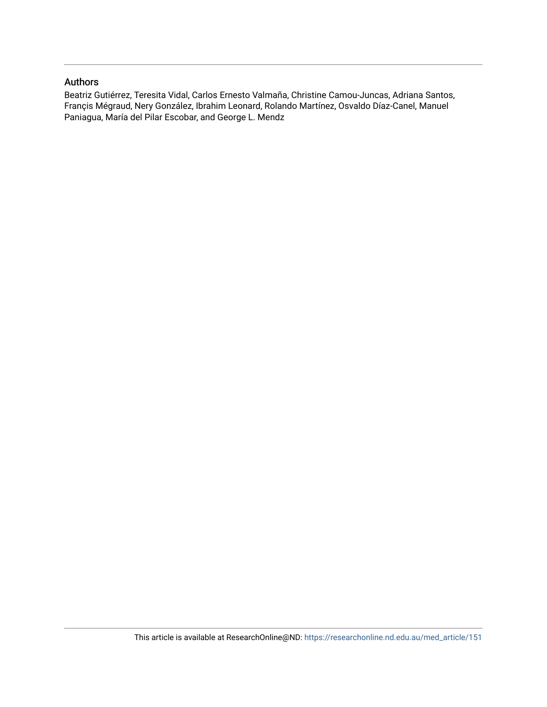### Authors

Beatriz Gutiérrez, Teresita Vidal, Carlos Ernesto Valmaña, Christine Camou-Juncas, Adriana Santos, Françis Mégraud, Nery González, Ibrahim Leonard, Rolando Martínez, Osvaldo Díaz-Canel, Manuel Paniagua, María del Pilar Escobar, and George L. Mendz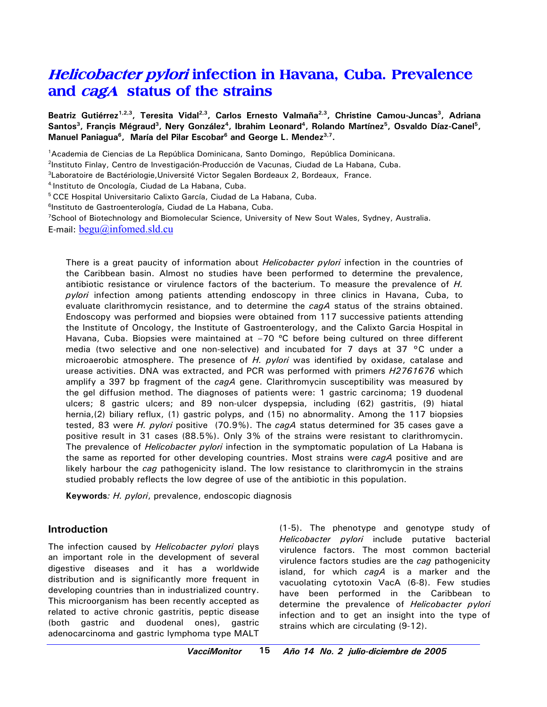# **Helicobacter pylori infection in Havana, Cuba. Prevalence and cagA status of the strains**

Beatriz Gutiérrez<sup>1,2,3</sup>, Teresita Vidal<sup>2,3</sup>, Carlos Ernesto Valmaña<sup>2,3</sup>, Christine Camou-Juncas<sup>3</sup>, Adriana Santos<sup>3</sup>, Françis Mégraud<sup>3</sup>, Nery González<sup>4</sup>, Ibrahim Leonard<sup>4</sup>, Rolando Martínez<sup>5</sup>, Osvaldo Díaz-Canel<sup>5</sup>, Manuel Paniagua<sup>6</sup>, María del Pilar Escobar<sup>6</sup> and George L. Mendez<sup>3,7</sup>.

1 Academia de Ciencias de La República Dominicana, Santo Domingo, República Dominicana.

2 Instituto Finlay, Centro de Investigación-Producción de Vacunas, Ciudad de La Habana, Cuba.

<sup>3</sup>Laboratoire de Bactériologie, Université Victor Segalen Bordeaux 2, Bordeaux, France.

4.Instituto de Oncología, Ciudad de La Habana, Cuba.

5 CCE Hospital Universitario Calixto García, Ciudad de La Habana, Cuba.

<sup>6</sup>Instituto de Gastroenterología, Ciudad de La Habana, Cuba.

<sup>7</sup>School of Biotechnology and Biomolecular Science, University of New Sout Wales, Sydney, Australia. E-mail:  $begin@if@{\@ifnextchar\@ifnextchar\!\!\!} \overline{0} \\[-1.5mm] \text{E-mail:} \overline{begin@ifnextchar\text{\textsf{def}}{\mathcal{P}}}} \overline{0} \end{cases} \text{infomed} \underline{s} \\[-1.5mm]$ 

There is a great paucity of information about *Helicobacter pylori* infection in the countries of the Caribbean basin. Almost no studies have been performed to determine the prevalence, antibiotic resistance or virulence factors of the bacterium. To measure the prevalence of *H. pylori* infection among patients attending endoscopy in three clinics in Havana, Cuba, to evaluate clarithromycin resistance, and to determine the *cagA* status of the strains obtained. Endoscopy was performed and biopsies were obtained from 117 successive patients attending the Institute of Oncology, the Institute of Gastroenterology, and the Calixto Garcia Hospital in Havana, Cuba. Biopsies were maintained at -70 °C before being cultured on three different media (two selective and one non-selective) and incubated for 7 days at 37 °C under a microaerobic atmosphere. The presence of *H. pylori* was identified by oxidase, catalase and urease activities. DNA was extracted, and PCR was performed with primers *H2761676* which amplify a 397 bp fragment of the *cagA* gene. Clarithromycin susceptibility was measured by the gel diffusion method. The diagnoses of patients were: 1 gastric carcinoma; 19 duodenal ulcers; 8 gastric ulcers; and 89 non-ulcer dyspepsia, including (62) gastritis, (9) hiatal hernia,(2) biliary reflux, (1) gastric polyps, and (15) no abnormality. Among the 117 biopsies tested, 83 were *H. pylori* positive (70.9%). The *cagA* status determined for 35 cases gave a positive result in 31 cases (88.5%). Only 3% of the strains were resistant to clarithromycin. The prevalence of *Helicobacter pylori* infection in the symptomatic population of La Habana is the same as reported for other developing countries. Most strains were *cagA* positive and are likely harbour the *cag* pathogenicity island. The low resistance to clarithromycin in the strains studied probably reflects the low degree of use of the antibiotic in this population.

**Keywords***: H. pylori*, prevalence, endoscopic diagnosis

#### **Introduction**

The infection caused by *Helicobacter pylori* plays an important role in the development of several digestive diseases and it has a worldwide distribution and is significantly more frequent in developing countries than in industrialized country. This microorganism has been recently accepted as related to active chronic gastritis, peptic disease (both gastric and duodenal ones), gastric adenocarcinoma and gastric lymphoma type MALT (1-5). The phenotype and genotype study of *Helicobacter pylori* include putative bacterial virulence factors. The most common bacterial virulence factors studies are the *cag* pathogenicity island, for which *cagA* is a marker and the vacuolating cytotoxin VacA (6-8). Few studies have been performed in the Caribbean to determine the prevalence of *Helicobacter pylori* infection and to get an insight into the type of strains which are circulating (9-12).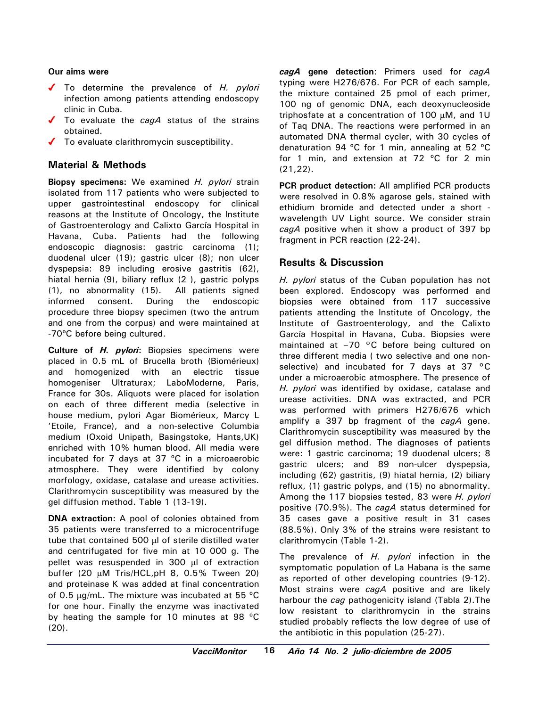#### **Our aims were**

- To determine the prevalence of *H. pylori* infection among patients attending endoscopy clinic in Cuba.
- ◆ To evaluate the *cagA* status of the strains obtained.
- $\checkmark$  To evaluate clarithromycin susceptibility.

## **Material & Methods**

**Biopsy specimens:** We examined *H. pylori* strain isolated from 117 patients who were subjected to upper gastrointestinal endoscopy for clinical reasons at the Institute of Oncology, the Institute of Gastroenterology and Calixto García Hospital in Havana, Cuba. Patients had the following endoscopic diagnosis: gastric carcinoma (1); duodenal ulcer (19); gastric ulcer (8); non ulcer dyspepsia: 89 including erosive gastritis (62), hiatal hernia (9), biliary reflux (2 ), gastric polyps (1), no abnormality (15). All patients signed informed consent. During the endoscopic procedure three biopsy specimen (two the antrum and one from the corpus) and were maintained at -70ºC before being cultured.

**Culture of** *H. pylori***:** Biopsies specimens were placed in 0.5 mL of Brucella broth (Biomérieux) and homogenized with an electric tissue homogeniser Ultraturax; LaboModerne, Paris, France for 30s. Aliquots were placed for isolation on each of three different media (selective in house medium, pylori Agar Biomérieux, Marcy L 'Etoile, France), and a non-selective Columbia medium (Oxoid Unipath, Basingstoke, Hants,UK) enriched with 10% human blood. All media were incubated for 7 days at 37 ºC in a microaerobic atmosphere. They were identified by colony morfology, oxidase, catalase and urease activities. Clarithromycin susceptibility was measured by the gel diffusion method. Table 1 (13-19).

**DNA extraction:** A pool of colonies obtained from 35 patients were transferred to a microcentrifuge tube that contained 500 µl of sterile distilled water and centrifugated for five min at 10 000 g. The pellet was resuspended in 300 µl of extraction buffer (20 µM Tris/HCL,pH 8, 0.5% Tween 20) and proteinase K was added at final concentration of 0.5 µg/mL. The mixture was incubated at 55 ºC for one hour. Finally the enzyme was inactivated by heating the sample for 10 minutes at 98 ºC (20).

*cagA* **gene detection**: Primers used for *cagA* typing were H276/676. For PCR of each sample, the mixture contained 25 pmol of each primer, 100 ng of genomic DNA, each deoxynucleoside triphosfate at a concentration of 100 µM, and 1U of Taq DNA. The reactions were performed in an automated DNA thermal cycler, with 30 cycles of denaturation 94 ºC for 1 min, annealing at 52 ºC for 1 min, and extension at 72 ºC for 2 min (21,22).

**PCR product detection:** All amplified PCR products were resolved in 0.8% agarose gels, stained with ethidium bromide and detected under a short wavelength UV Light source. We consider strain *cagA* positive when it show a product of 397 bp fragment in PCR reaction (22-24).

## **Results & Discussion**

*H. pylori* status of the Cuban population has not been explored. Endoscopy was performed and biopsies were obtained from 117 successive patients attending the Institute of Oncology, the Institute of Gastroenterology, and the Calixto García Hospital in Havana, Cuba. Biopsies were maintained at -70 °C before being cultured on three different media ( two selective and one nonselective) and incubated for 7 days at 37 °C under a microaerobic atmosphere. The presence of *H. pylori* was identified by oxidase, catalase and urease activities. DNA was extracted, and PCR was performed with primers H276/676 which amplify a 397 bp fragment of the *cagA* gene. Clarithromycin susceptibility was measured by the gel diffusion method. The diagnoses of patients were: 1 gastric carcinoma; 19 duodenal ulcers; 8 gastric ulcers; and 89 non-ulcer dyspepsia, including (62) gastritis, (9) hiatal hernia, (2) biliary reflux, (1) gastric polyps, and (15) no abnormality. Among the 117 biopsies tested, 83 were *H. pylori* positive (70.9%). The *cagA* status determined for 35 cases gave a positive result in 31 cases (88.5%). Only 3% of the strains were resistant to clarithromycin (Table 1-2).

The prevalence of *H. pylori* infection in the symptomatic population of La Habana is the same as reported of other developing countries (9-12). Most strains were *cagA* positive and are likely harbour the *cag* pathogenicity island (Tabla 2).The low resistant to clarithromycin in the strains studied probably reflects the low degree of use of the antibiotic in this population (25-27).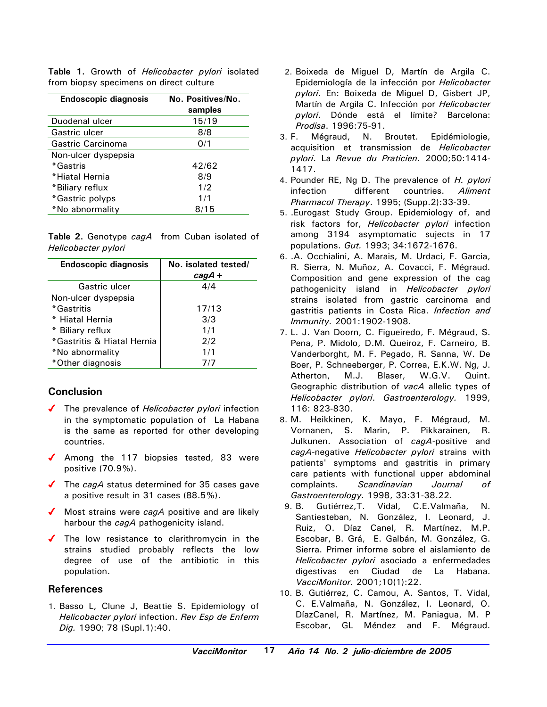| <b>Endoscopic diagnosis</b> | No. Positives/No.<br>samples |
|-----------------------------|------------------------------|
| Duodenal ulcer              | 15/19                        |
| Gastric ulcer               | 8/8                          |
| Gastric Carcinoma           | 0/1                          |
| Non-ulcer dyspepsia         |                              |
| *Gastris                    | 42/62                        |
| *Hiatal Hernia              | 8/9                          |
| *Biliary reflux             | 1/2                          |
| *Gastric polyps             | 1/1                          |
| *No abnormality             | 8/15                         |

**Table 1.** Growth of *Helicobacter pylori* isolated from biopsy specimens on direct culture

**Table 2.** Genotype *cagA* from Cuban isolated of *Helicobacter pylori*

| <b>Endoscopic diagnosis</b> | No. isolated tested/<br>$cagA +$ |
|-----------------------------|----------------------------------|
| Gastric ulcer               | 4/4                              |
| Non-ulcer dyspepsia         |                                  |
| *Gastritis                  | 17/13                            |
| * Hiatal Hernia             | 3/3                              |
| * Biliary reflux            | 1/1                              |
| *Gastritis & Hiatal Hernia  | 2/2                              |
| *No abnormality             | 1/1                              |
| *Other diagnosis            | 7/7                              |

#### **Conclusion**

- ◆ The prevalence of *Helicobacter pylori* infection in the symptomatic population of La Habana is the same as reported for other developing countries.
- $\sqrt{\phantom{0}}$  Among the 117 biopsies tested, 83 were positive (70.9%).
- ◆ The *cagA* status determined for 35 cases gave a positive result in 31 cases (88.5%).
- ◆ Most strains were *cagA* positive and are likely harbour the *cagA* pathogenicity island.
- $\sqrt{\phantom{a}}$  The low resistance to clarithromycin in the strains studied probably reflects the low degree of use of the antibiotic in this population.

#### **References**

1. Basso L, Clune J, Beattie S. Epidemiology of *Helicobacter pylori* infection. *Rev Esp de Enferm Dig.* 1990; 78 (Supl.1):40.

- 2. Boixeda de Miguel D, Martín de Argila C. Epidemiología de la infección por *Helicobacter pylori*. En: Boixeda de Miguel D, Gisbert JP, Martín de Argila C. Infección por *Helicobacter pylori*. Dónde está el límite? Barcelona: *Prodisa*. 1996:75-91.
- 3. F. Mégraud, N. Broutet. Epidémiologie, acquisition et transmission de *Helicobacter pylori*. La *Revue du Praticien.* 2000;50:1414- 1417.
- 4. Pounder RE, Ng D. The prevalence of *H. pylori* infection different countries. *Aliment Pharmacol Therapy*. 1995; (Supp.2):33-39.
- 5. .Eurogast Study Group. Epidemiology of, and risk factors for, *Helicobacter pylori* infection among 3194 asymptomatic sujects in 17 populations. *Gut.* 1993; 34:1672-1676.
- 6. .A. Occhialini, A. Marais, M. Urdaci, F. Garcia, R. Sierra, N. Muñoz, A. Covacci, F. Mégraud. Composition and gene expression of the cag pathogenicity island in *Helicobacter pylori* strains isolated from gastric carcinoma and gastritis patients in Costa Rica. *Infection and Immunity.* 2001:1902-1908.
- 7. L. J. Van Doorn, C. Figueiredo, F. Mégraud, S. Pena, P. Midolo, D.M. Queiroz, F. Carneiro, B. Vanderborght, M. F. Pegado, R. Sanna, W. De Boer, P. Schneeberger, P. Correa, E.K.W. Ng, J. Atherton, M.J. Blaser, W.G.V. Quint. Geographic distribution of *vacA* allelic types of *Helicobacter pylori*. *Gastroenterology.* 1999, 116: 823-830.
- 8. M. Heikkinen, K. Mayo, F. Mégraud, M. Vornanen, S. Marin, P. Pikkarainen, R. Julkunen. Association of *cagA*-positive and *cagA*-negative *Helicobacter pylori* strains with patients' symptoms and gastritis in primary care patients with functional upper abdominal complaints. *Scandinavian Journal of Gastroenterology.* 1998, 33:31-38.22.
- 9. B. Gutiérrez,T. Vidal, C.E.Valmaña, N. Santiesteban, N. González, I. Leonard, J. Ruiz, O. Díaz Canel, R. Martínez, M.P. Escobar, B. Grá, E. Galbán, M. González, G. Sierra. Primer informe sobre el aislamiento de *Helicobacter pylori* asociado a enfermedades digestivas en Ciudad de La Habana. *VacciMonitor.* 2001;10(1):22.
- 10. B. Gutiérrez, C. Camou, A. Santos, T. Vidal, C. E.Valmaña, N. González, I. Leonard, O. DíazCanel, R. Martínez, M. Paniagua, M. P Escobar, GL Méndez and F. Mégraud.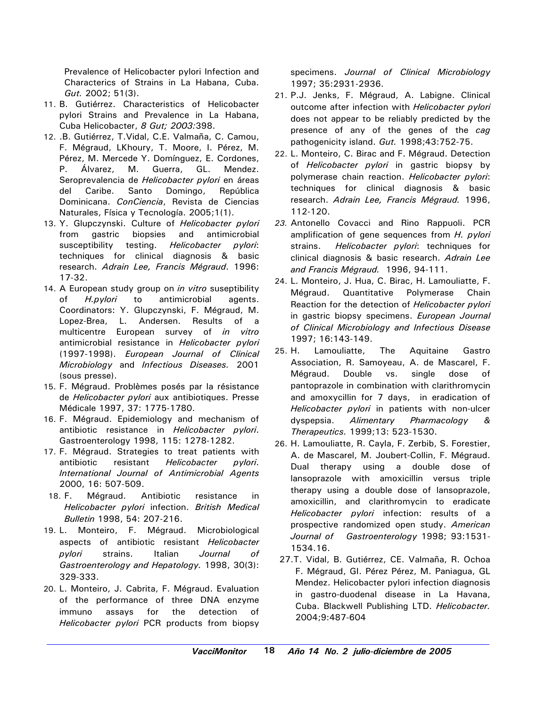Prevalence of Helicobacter pylori Infection and Characterics of Strains in La Habana, Cuba. *Gut.* 2002; 51(3).

- 11. B. Gutiérrez. Characteristics of Helicobacter pylori Strains and Prevalence in La Habana, Cuba Helicobacter, *8 Gut; 2003:*398.
- 12. .B. Gutiérrez, T.Vidal, C.E. Valmaña, C. Camou, F. Mégraud, LKhoury, T. Moore, I. Pérez, M. Pérez, M. Mercede Y. Domínguez, E. Cordones, P. Álvarez, M. Guerra, GL. Mendez. Seroprevalencia de *Helicobacter pylori* en áreas del Caribe. Santo Domingo, República Dominicana. *ConCiencia*, Revista de Ciencias Naturales, Física y Tecnología. 2005;1(1).
- 13. Y. Glupczynski. Culture of *Helicobacter pylori* from gastric biopsies and antimicrobial susceptibility testing. *Helicobacter pylori*: techniques for clinical diagnosis & basic research. *Adrain Lee, Francis Mégraud*. 1996: 17-32.
- 14. A European study group on *in vitro* suseptibility of *H.pylori* to antimicrobial agents. Coordinators: Y. Glupczynski, F. Mégraud, M. Lopez-Brea, L. Andersen. Results of a multicentre European survey of *in vitro* antimicrobial resistance in *Helicobacter pylori* (1997-1998). *European Journal of Clinical Microbiology* and *Infectious Diseases.* 2001 (sous presse).
- 15. F. Mégraud. Problèmes posés par la résistance de *Helicobacter pylori* aux antibiotiques. Presse Médicale 1997, 37: 1775-1780.
- 16. F. Mégraud. Epidemiology and mechanism of antibiotic resistance in *Helicobacter pylori*. Gastroenterology 1998, 115: 1278-1282.
- 17. F. Mégraud. Strategies to treat patients with antibiotic resistant *Helicobacter pylori*. *International Journal of Antimicrobial Agents* 2000, 16: 507-509.
- 18. F. Mégraud. Antibiotic resistance in *Helicobacter pylori* infection. *British Medical Bulletin* 1998, 54: 207-216.
- 19. L. Monteiro, F. Mégraud. Microbiological aspects of antibiotic resistant *Helicobacter pylori* strains. Italian *Journal of Gastroenterology and Hepatology.* 1998, 30(3): 329-333.
- 20. L. Monteiro, J. Cabrita, F. Mégraud. Evaluation of the performance of three DNA enzyme immuno assays for the detection of *Helicobacter pylori* PCR products from biopsy

specimens. *Journal of Clinical Microbiology* 1997; 35:2931-2936.

- 21. P.J. Jenks, F. Mégraud, A. Labigne. Clinical outcome after infection with *Helicobacter pylori* does not appear to be reliably predicted by the presence of any of the genes of the *cag* pathogenicity island. *Gut.* 1998;43:752-75.
- 22. L. Monteiro, C. Birac and F. Mégraud. Detection of *Helicobacter pylori* in gastric biopsy by polymerase chain reaction. *Helicobacter pylori*: techniques for clinical diagnosis & basic research. *Adrain Lee, Francis Mégraud.* 1996, 112-120.
- *23.* Antonello Covacci and Rino Rappuoli. PCR amplification of gene sequences from *H. pylori* strains. *Helicobacter pylori*: techniques for clinical diagnosis & basic research. *Adrain Lee and Francis Mégraud.* 1996, 94-111.
- 24. L. Monteiro, J. Hua, C. Birac, H. Lamouliatte, F. Mégraud. Quantitative Polymerase Chain Reaction for the detection of *Helicobacter pylori* in gastric biopsy specimens. *European Journal of Clinical Microbiology and Infectious Disease* 1997; 16:143-149.
- 25. H. Lamouliatte, The Aquitaine Gastro Association, R. Samoyeau, A. de Mascarel, F. Mégraud. Double vs. single dose of pantoprazole in combination with clarithromycin and amoxycillin for 7 days, in eradication of *Helicobacter pylori* in patients with non-ulcer dyspepsia. *Alimentary Pharmacology & Therapeutics.* 1999;13: 523-1530.
- 26. H. Lamouliatte, R. Cayla, F. Zerbib, S. Forestier, A. de Mascarel, M. Joubert-Collin, F. Mégraud. Dual therapy using a double dose of lansoprazole with amoxicillin versus triple therapy using a double dose of lansoprazole, amoxicillin, and clarithromycin to eradicate *Helicobacter pylori* infection: results of a prospective randomized open study. *American Journal of Gastroenterology* 1998; 93:1531- 1534.16.
- 27.T. Vidal, B. Gutiérrez, CE. Valmaña, R. Ochoa F. Mégraud, GI. Pérez Pérez, M. Paniagua, GL Mendez. Helicobacter pylori infection diagnosis in gastro-duodenal disease in La Havana, Cuba. Blackwell Publishing LTD. *Helicobacter.* 2004;9:487-604